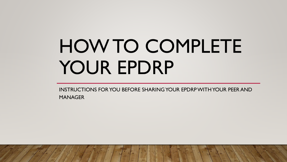# HOW TO COMPLETE YOUR EPDRP

INSTRUCTIONS FOR YOU BEFORE SHARING YOUR EPDRPWITH YOUR PEER AND MANAGER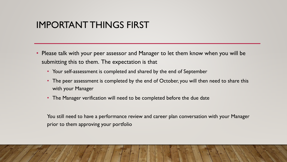## IMPORTANT THINGS FIRST

- Please talk with your peer assessor and Manager to let them know when you will be submitting this to them. The expectation is that
	- Your self-assessment is completed and shared by the end of September
	- The peer assessment is completed by the end of October, you will then need to share this with your Manager
	- The Manager verification will need to be completed before the due date

You still need to have a performance review and career plan conversation with your Manager prior to them approving your portfolio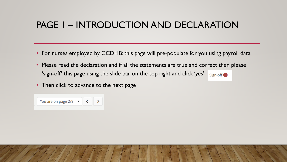# PAGE 1 – INTRODUCTION AND DECLARATION

- For nurses employed by CCDHB: this page will pre-populate for you using payroll data
- Please read the declaration and if all the statements are true and correct then please 'sign-off' this page using the slide bar on the top right and click 'yes' Sign-off<sup>o</sup>
- Then click to advance to the next page

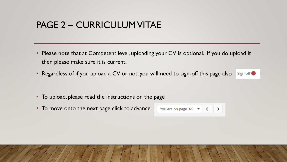## PAGE 2 – CURRICULUM VITAE

- Please note that at Competent level, uploading your CV is optional. If you do upload it then please make sure it is current.
- Regardless of if you upload a CV or not, you will need to sign-off this page also Sign-off

- To upload, please read the instructions on the page
- To move onto the next page click to advance

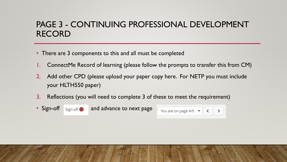#### PAGE 3 - CONTINUING PROFESSIONAL DEVELOPMENT RECORD

- There are 3 components to this and all must be completed
- ConnectMe Record of learning (please follow the prompts to transfer this from CM)
- 2. Add other CPD (please upload your paper copy here. For NETP you must include your HLTH550 paper)
- 3. Reflections (you will need to complete 3 of these to meet the requirement)



• Sign-off sign-off and advance to next page

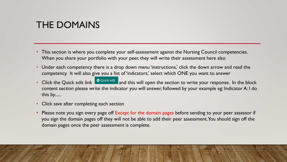## THE DOMAINS

- This section is where you complete your self-assessment against the Nursing Council competencies. When you share your portfolio with your peer, they will write their assessment here also
- Under each competency there is a drop down menu 'instructions,' click the down arrow and read the competency. It will also give you a list of 'indicators,' select which ONE you want to answer
- Click the Quick edit link **\*** Quick edit and this will open the section to write your response. In the block content section please write the indicator you will answer, followed by your example eg: Indicator A: I do this by......
- Click save after completing each section
- Please note you sign every page off Except for the domain pages before sending to your peer assessor if you sign the domain pages off they will not be able to add their peer assessment. You should sign off the domain pages once the peer assessment is complete.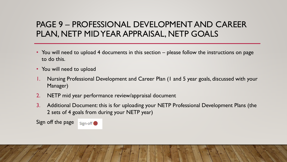#### PAGE 9 – PROFESSIONAL DEVELOPMENT AND CAREER PLAN, NETP MID YEAR APPRAISAL, NETP GOALS

- You will need to upload 4 documents in this section please follow the instructions on page to do this.
- You will need to upload
- 1. Nursing Professional Development and Career Plan (1 and 5 year goals, discussed with your Manager)
- 2. NETP mid year performance review/appraisal document
- 3. Additional Document: this is for uploading your NETP Professional Development Plans (the 2 sets of 4 goals from during your NETP year)

Sign off the page Sign-off